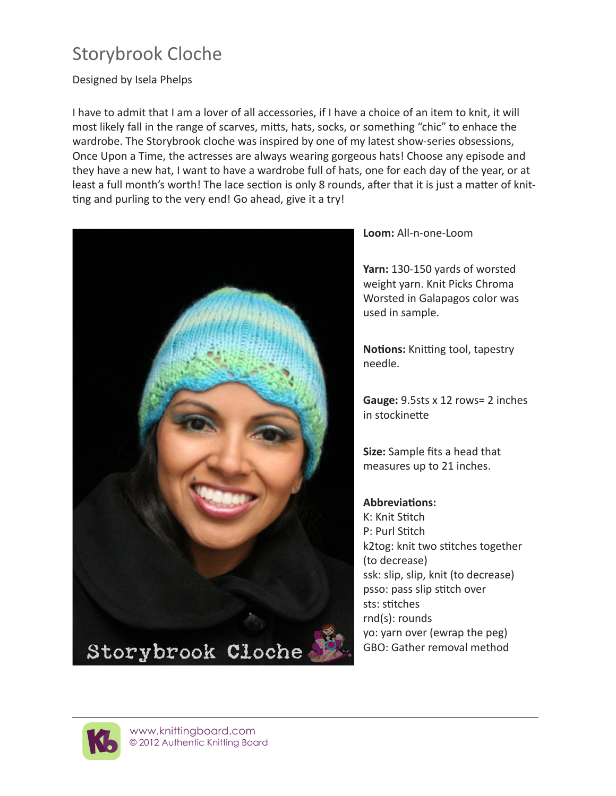## Storybrook Cloche

Designed by Isela Phelps

I have to admit that I am a lover of all accessories, if I have a choice of an item to knit, it will most likely fall in the range of scarves, mitts, hats, socks, or something "chic" to enhace the wardrobe. The Storybrook cloche was inspired by one of my latest show-series obsessions, Once Upon a Time, the actresses are always wearing gorgeous hats! Choose any episode and they have a new hat, I want to have a wardrobe full of hats, one for each day of the year, or at least a full month's worth! The lace section is only 8 rounds, after that it is just a matter of knitting and purling to the very end! Go ahead, give it a try!



**Loom:** All-n-one-Loom

**Yarn:** 130-150 yards of worsted weight yarn. Knit Picks Chroma Worsted in Galapagos color was used in sample.

**Notions:** Knitting tool, tapestry needle.

**Gauge:** 9.5sts x 12 rows= 2 inches in stockinette

**Size:** Sample fits a head that measures up to 21 inches.

**Abbreviations:** K: Knit Stitch P: Purl Stitch k2tog: knit two stitches together (to decrease) ssk: slip, slip, knit (to decrease) psso: pass slip stitch over sts: stitches rnd(s): rounds yo: yarn over (ewrap the peg) GBO: Gather removal method